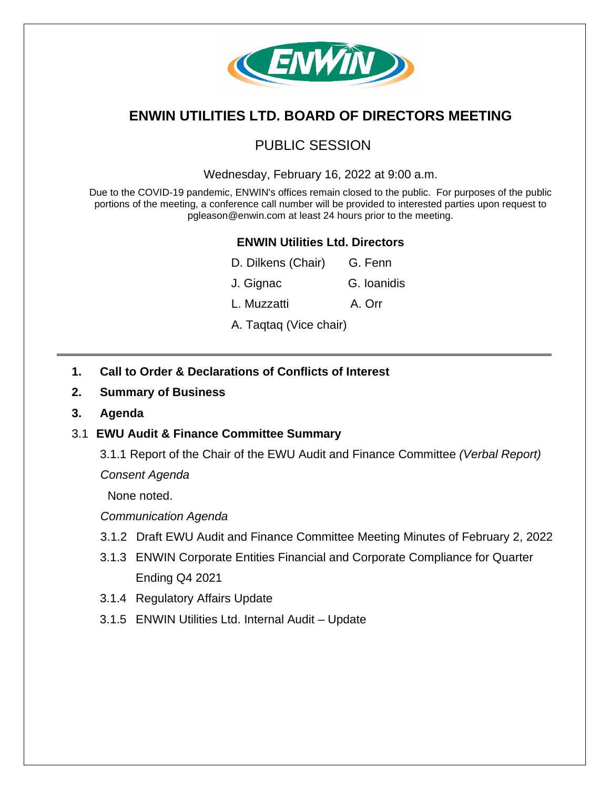

# **ENWIN UTILITIES LTD. BOARD OF DIRECTORS MEETING**

## PUBLIC SESSION

Wednesday, February 16, 2022 at 9:00 a.m.

Due to the COVID-19 pandemic, ENWIN's offices remain closed to the public. For purposes of the public portions of the meeting, a conference call number will be provided to interested parties upon request to pgleason@enwin.com at least 24 hours prior to the meeting.

## **ENWIN Utilities Ltd. Directors**

| D. Dilkens (Chair)     | G. Fenn     |
|------------------------|-------------|
| J. Gignac              | G. Ioanidis |
| L. Muzzatti            | A. Orr      |
| A. Taqtaq (Vice chair) |             |

- **1. Call to Order & Declarations of Conflicts of Interest**
- **2. Summary of Business**
- **3. Agenda**

### 3.1 **EWU Audit & Finance Committee Summary**

3.1.1 Report of the Chair of the EWU Audit and Finance Committee *(Verbal Report)*

*Consent Agenda* 

None noted.

*Communication Agenda* 

- 3.1.2 Draft EWU Audit and Finance Committee Meeting Minutes of February 2, 2022
- 3.1.3 ENWIN Corporate Entities Financial and Corporate Compliance for Quarter Ending Q4 2021
- 3.1.4 Regulatory Affairs Update
- 3.1.5 ENWIN Utilities Ltd. Internal Audit Update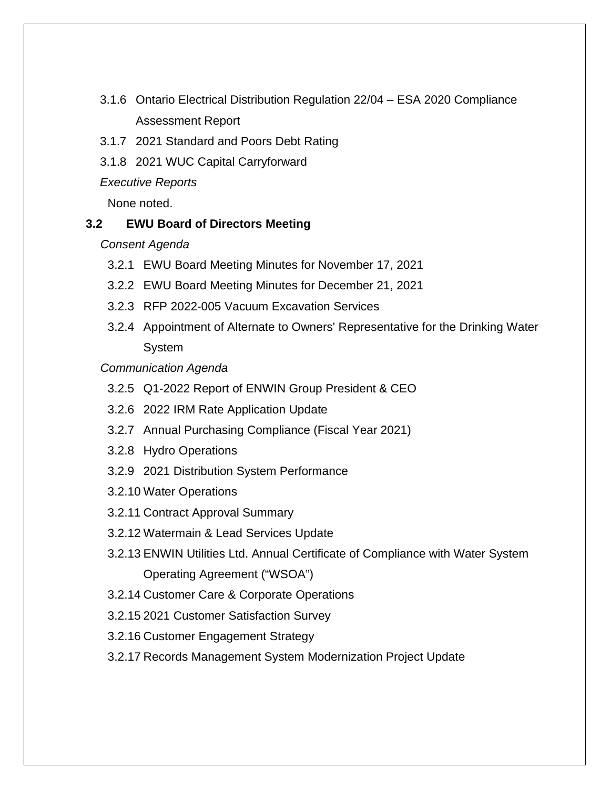- 3.1.6 Ontario Electrical Distribution Regulation 22/04 ESA 2020 Compliance Assessment Report
- 3.1.7 2021 Standard and Poors Debt Rating
- 3.1.8 2021 WUC Capital Carryforward

*Executive Reports* 

None noted.

### **3.2 EWU Board of Directors Meeting**

*Consent Agenda* 

- 3.2.1 EWU Board Meeting Minutes for November 17, 2021
- 3.2.2 EWU Board Meeting Minutes for December 21, 2021
- 3.2.3 RFP 2022-005 Vacuum Excavation Services
- 3.2.4 Appointment of Alternate to Owners' Representative for the Drinking Water System

*Communication Agenda* 

- 3.2.5 Q1-2022 Report of ENWIN Group President & CEO
- 3.2.6 2022 IRM Rate Application Update
- 3.2.7 Annual Purchasing Compliance (Fiscal Year 2021)
- 3.2.8 Hydro Operations
- 3.2.9 2021 Distribution System Performance
- 3.2.10 Water Operations
- 3.2.11 Contract Approval Summary
- 3.2.12 Watermain & Lead Services Update
- 3.2.13 ENWIN Utilities Ltd. Annual Certificate of Compliance with Water System Operating Agreement ("WSOA")
- 3.2.14 Customer Care & Corporate Operations
- 3.2.15 2021 Customer Satisfaction Survey
- 3.2.16 Customer Engagement Strategy
- 3.2.17 Records Management System Modernization Project Update